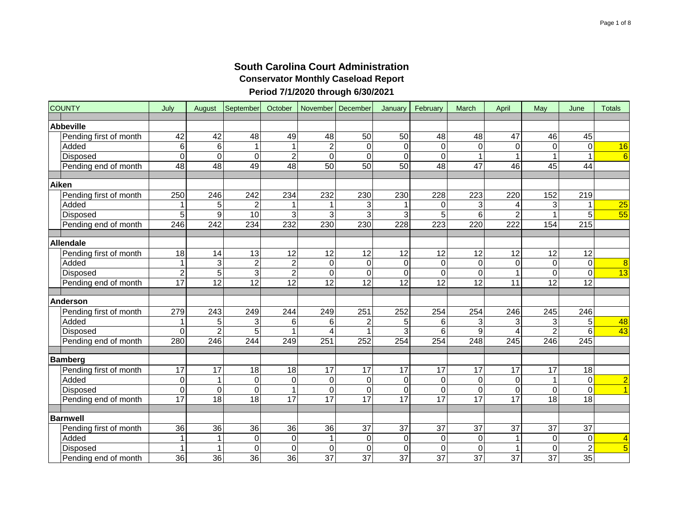| <b>COUNTY</b>          | July            | August          | September           | October         | November         | December         | January         | February        | March            | April            | May             | June            | <b>Totals</b>           |
|------------------------|-----------------|-----------------|---------------------|-----------------|------------------|------------------|-----------------|-----------------|------------------|------------------|-----------------|-----------------|-------------------------|
| <b>Abbeville</b>       |                 |                 |                     |                 |                  |                  |                 |                 |                  |                  |                 |                 |                         |
| Pending first of month | 42              | 42              | 48                  | 49              | 48               | 50               | 50              | 48              | 48               | 47               | 46              | 45              |                         |
| Added                  | $6\phantom{1}6$ | 6               | 1                   | 1               | $\boldsymbol{2}$ | $\boldsymbol{0}$ | $\mathbf 0$     | 0               | $\pmb{0}$        | $\pmb{0}$        | 0               | $\mathbf 0$     | 16                      |
| Disposed               | $\mathbf 0$     | $\overline{0}$  | $\overline{O}$      | $\overline{2}$  | $\overline{0}$   | $\overline{0}$   | $\mathbf 0$     | $\mathbf 0$     | $\mathbf{1}$     | $\mathbf{1}$     |                 | $\mathbf{1}$    | $6\overline{6}$         |
| Pending end of month   | $\overline{48}$ | 48              | 49                  | 48              | $\overline{50}$  | 50               | 50              | 48              | $\overline{47}$  | 46               | 45              | $\overline{44}$ |                         |
| Aiken                  |                 |                 |                     |                 |                  |                  |                 |                 |                  |                  |                 |                 |                         |
| Pending first of month | 250             | 246             | 242                 | 234             | 232              | 230              | 230             | 228             | 223              | 220              | 152             | 219             |                         |
| Added                  |                 | 5               | 2                   | 1               |                  | 3                |                 | 0               | 3                | 4                | 3               | $\mathbf 1$     | $\overline{25}$         |
| Disposed               | $\overline{5}$  | $\overline{9}$  | $\overline{10}$     | 3               | $\overline{3}$   | $\overline{3}$   | 3               | $\overline{5}$  | $\overline{6}$   | $\overline{2}$   | 1               | $\overline{5}$  | $\overline{55}$         |
| Pending end of month   | 246             | 242             | 234                 | 232             | 230              | 230              | 228             | 223             | 220              | 222              | 154             | 215             |                         |
| Allendale              |                 |                 |                     |                 |                  |                  |                 |                 |                  |                  |                 |                 |                         |
| Pending first of month | 18              | 14              | 13                  | 12              | 12               | 12               | 12              | 12              | 12               | 12               | 12              | 12              |                         |
| Added                  | 1               | 3               | $\overline{2}$      | $\overline{2}$  | $\mathbf 0$      | $\mathbf 0$      | $\mathbf 0$     | $\pmb{0}$       | $\boldsymbol{0}$ | $\pmb{0}$        | $\mathbf 0$     | $\mathbf 0$     | 8                       |
| Disposed               | $\overline{c}$  | 5               | 3                   | $\overline{2}$  | $\mathsf 0$      | 0                | 0               | $\mathbf 0$     | $\mathbf 0$      | $\mathbf{1}$     | $\Omega$        | $\overline{0}$  | $\overline{13}$         |
| Pending end of month   | $\overline{17}$ | $\overline{12}$ | 12                  | $\overline{12}$ | $\overline{12}$  | 12               | 12              | 12              | $\overline{12}$  | 11               | 12              | $\overline{12}$ |                         |
|                        |                 |                 |                     |                 |                  |                  |                 |                 |                  |                  |                 |                 |                         |
| Anderson               |                 |                 |                     |                 |                  |                  |                 |                 |                  |                  |                 |                 |                         |
| Pending first of month | 279             | 243             | 249                 | 244             | 249              | 251              | 252             | 254             | 254              | 246              | 245             | 246             |                         |
| Added                  | 1               | 5               | 3                   | 6               | 6                | $\overline{c}$   | 5               | 6               | 3                | 3                | 3               | 5               | 48                      |
| Disposed               | 0               | $\overline{2}$  | 5                   | 1               | 4                | $\overline{1}$   | 3               | 6               | $\boldsymbol{9}$ | $\overline{4}$   | $\overline{2}$  | 6               | 43                      |
| Pending end of month   | 280             | 246             | 244                 | 249             | 251              | 252              | 254             | 254             | 248              | 245              | 246             | 245             |                         |
| Bamberg                |                 |                 |                     |                 |                  |                  |                 |                 |                  |                  |                 |                 |                         |
| Pending first of month | 17              | 17              | 18                  | 18              | 17               | 17               | 17              | 17              | 17               | 17               | 17              | 18              |                         |
| Added                  | $\mathbf 0$     | 1               | $\mathsf{O}\xspace$ | $\pmb{0}$       | 0                | 0                | $\mathbf 0$     | 0               | $\pmb{0}$        | $\pmb{0}$        | 1               | $\mathbf 0$     | $\overline{2}$          |
| Disposed               | $\mathbf 0$     | 0               | $\Omega$            | $\mathbf{1}$    | 0                | 0                | 0               | 0               | $\pmb{0}$        | $\boldsymbol{0}$ | $\Omega$        | $\overline{0}$  | $\overline{1}$          |
| Pending end of month   | $\overline{17}$ | $\overline{18}$ | $\overline{18}$     | $\overline{17}$ | 17               | $\overline{17}$  | $\overline{17}$ | $\overline{17}$ | 17               | $\overline{17}$  | $\overline{18}$ | $\overline{18}$ |                         |
| <b>Barnwell</b>        |                 |                 |                     |                 |                  |                  |                 |                 |                  |                  |                 |                 |                         |
| Pending first of month | 36              | 36              | 36                  | 36              | 36               | 37               | 37              | 37              | 37               | 37               | 37              | 37              |                         |
| Added                  | 1               | 1               | $\mathsf{O}\xspace$ | $\pmb{0}$       | 1                | $\boldsymbol{0}$ | 0               | $\pmb{0}$       | $\pmb{0}$        | 1                | 0               | $\mathbf 0$     | 4                       |
| Disposed               | 1               | $\mathbf{1}$    | $\mathbf 0$         | 0               | $\mathbf 0$      | 0                | 0               | 0               | $\boldsymbol{0}$ | $\mathbf{1}$     | $\Omega$        | $\overline{2}$  | $\overline{\mathbf{5}}$ |
| Pending end of month   | $\overline{36}$ | 36              | $\overline{36}$     | 36              | $\overline{37}$  | $\overline{37}$  | $\overline{37}$ | $\overline{37}$ | $\overline{37}$  | $\overline{37}$  | $\overline{37}$ | 35              |                         |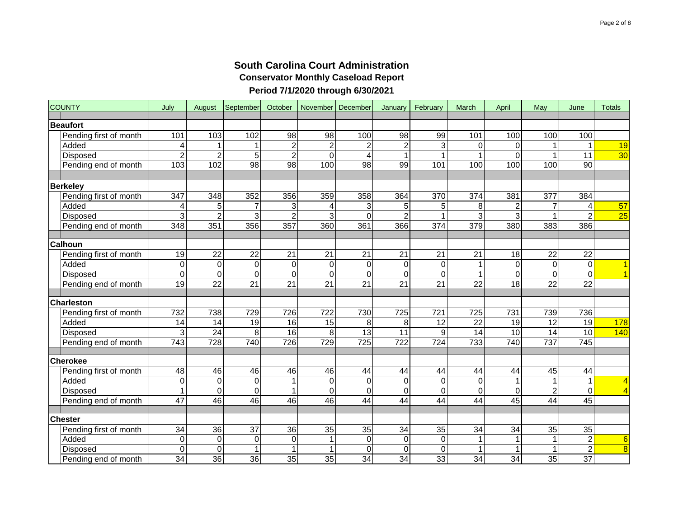| <b>COUNTY</b>          | July            | August          | September       | October         | November         | December        | January         | February         | March           | April           | May             | June             | <b>Totals</b>   |
|------------------------|-----------------|-----------------|-----------------|-----------------|------------------|-----------------|-----------------|------------------|-----------------|-----------------|-----------------|------------------|-----------------|
| <b>Beaufort</b>        |                 |                 |                 |                 |                  |                 |                 |                  |                 |                 |                 |                  |                 |
| Pending first of month | 101             | 103             | 102             | $\overline{98}$ | 98               | 100             | $\overline{98}$ | 99               | 101             | 100             | 100             | 100              |                 |
| Added                  | 4               | 1               |                 | $\overline{c}$  | 2                | 2               | $\overline{c}$  | 3                | $\Omega$        | $\Omega$        | 1               | 1                | 19              |
| Disposed               | $\overline{2}$  | $\overline{2}$  | 5               | $\overline{2}$  | $\Omega$         | $\overline{4}$  |                 | $\overline{1}$   |                 | $\Omega$        | $\mathbf{1}$    | $\overline{11}$  | 30              |
| Pending end of month   | 103             | 102             | 98              | 98              | 100              | 98              | 99              | 101              | 100             | 100             | 100             | 90               |                 |
|                        |                 |                 |                 |                 |                  |                 |                 |                  |                 |                 |                 |                  |                 |
| <b>Berkeley</b>        |                 |                 |                 |                 |                  |                 |                 |                  |                 |                 |                 |                  |                 |
| Pending first of month | 347             | 348             | 352             | 356             | 359              | 358             | 364             | 370              | 374             | 381             | 377             | 384              |                 |
| Added                  | 4               | 5               |                 | 3               | 4                | $\overline{3}$  | 5               | 5                | 8               | $\overline{2}$  | 7               | 4                | 57              |
| Disposed               | 3               | $\overline{2}$  | 3               | $\overline{2}$  | 3                | $\Omega$        | $\overline{2}$  |                  | 3               | 3               |                 | $\overline{2}$   | $\overline{25}$ |
| Pending end of month   | 348             | 351             | 356             | 357             | 360              | 361             | 366             | $\overline{374}$ | 379             | 380             | $\frac{1}{383}$ | 386              |                 |
|                        |                 |                 |                 |                 |                  |                 |                 |                  |                 |                 |                 |                  |                 |
| <b>Calhoun</b>         |                 |                 |                 |                 |                  |                 |                 |                  |                 |                 |                 |                  |                 |
| Pending first of month | 19              | $\overline{22}$ | $\overline{22}$ | $\overline{21}$ | $\overline{21}$  | $\overline{21}$ | $\overline{21}$ | $\overline{21}$  | $\overline{21}$ | $\overline{18}$ | $\overline{22}$ | $\overline{22}$  |                 |
| Added                  | $\overline{0}$  | 0               | $\mathbf 0$     | $\mathsf 0$     | $\pmb{0}$        | $\overline{0}$  | 0               | $\mathbf 0$      | $\overline{1}$  | $\mathbf 0$     | 0               | $\mathbf 0$      | $\overline{1}$  |
| Disposed               | $\overline{0}$  | $\overline{0}$  | $\mathbf 0$     | $\mathbf 0$     | $\mathbf 0$      | $\mathbf 0$     | $\mathbf 0$     | $\mathbf 0$      | $\overline{1}$  | $\overline{0}$  | 0               | $\overline{0}$   | $\overline{1}$  |
| Pending end of month   | 19              | $\overline{22}$ | $\overline{21}$ | $\overline{21}$ | $\overline{21}$  | $\overline{21}$ | $\overline{21}$ | $\overline{21}$  | $\overline{22}$ | $\overline{18}$ | $\overline{22}$ | $\overline{22}$  |                 |
| <b>Charleston</b>      |                 |                 |                 |                 |                  |                 |                 |                  |                 |                 |                 |                  |                 |
| Pending first of month | 732             | 738             | 729             | 726             | 722              | 730             | 725             | $\overline{721}$ | 725             | 731             | 739             | 736              |                 |
| Added                  | 14              | 14              | 19              | 16              | 15               | 8               | 8               | 12               | 22              | 19              | 12              | 19               | 178             |
| Disposed               | 3               | $\overline{24}$ | 8               | 16              | 8                | $\overline{13}$ | $\overline{11}$ | 9                | 14              | 10              | $\overline{14}$ | $\overline{10}$  | 140             |
| Pending end of month   | $\frac{1}{743}$ | 728             | 740             | 726             | 729              | 725             | 722             | 724              | 733             | 740             | 737             | $\overline{745}$ |                 |
|                        |                 |                 |                 |                 |                  |                 |                 |                  |                 |                 |                 |                  |                 |
| <b>Cherokee</b>        |                 |                 |                 |                 |                  |                 |                 |                  |                 |                 |                 |                  |                 |
| Pending first of month | 48              | 46              | 46              | 46              | 46               | 44              | 44              | 44               | 44              | 44              | 45              | 44               |                 |
| Added                  | $\overline{0}$  | 0               | $\mathbf 0$     | 1               | $\pmb{0}$        | $\mathbf 0$     | 0               | $\mathbf 0$      | $\mathbf 0$     | $\mathbf{1}$    | $\mathbf{1}$    | $\mathbf{1}$     | $\overline{4}$  |
| Disposed               | 1               | 0               | $\Omega$        | $\mathbf{1}$    | $\boldsymbol{0}$ | 0               | 0               | $\mathbf 0$      | $\mathbf 0$     | $\mathbf 0$     | $\overline{2}$  | $\Omega$         | $\overline{4}$  |
| Pending end of month   | $\overline{47}$ | $\overline{46}$ | 46              | 46              | 46               | 44              | 44              | 44               | 44              | 45              | 44              | $\overline{45}$  |                 |
|                        |                 |                 |                 |                 |                  |                 |                 |                  |                 |                 |                 |                  |                 |
| <b>Chester</b>         |                 |                 |                 |                 |                  |                 |                 |                  |                 |                 |                 |                  |                 |
| Pending first of month | 34              | $\overline{36}$ | $\overline{37}$ | $\overline{36}$ | 35               | $\overline{35}$ | 34              | 35               | 34              | $\overline{34}$ | $\overline{35}$ | 35               |                 |
| Added                  | $\overline{0}$  | 0               | 0               | $\pmb{0}$       | $\mathbf 1$      | 0               | 0               | $\boldsymbol{0}$ | $\overline{1}$  | 1               | 1               | $\overline{2}$   | $6\phantom{1}6$ |
| <b>Disposed</b>        | $\mathbf 0$     | $\overline{0}$  |                 | $\mathbf{1}$    | $\mathbf{1}$     | $\mathbf 0$     | $\Omega$        | $\mathbf 0$      | $\overline{1}$  | $\mathbf{1}$    | 1               | $\overline{2}$   | $\overline{8}$  |
| Pending end of month   | 34              | $\overline{36}$ | 36              | $\overline{35}$ | 35               | 34              | 34              | 33               | 34              | 34              | 35              | $\overline{37}$  |                 |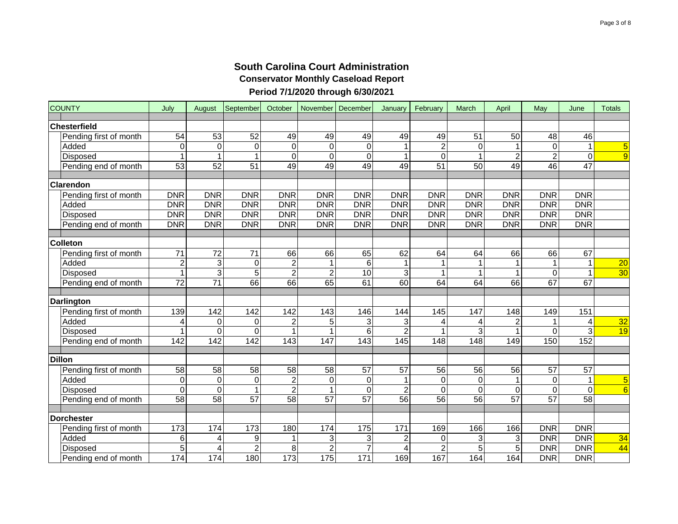| <b>COUNTY</b>          | July            | August          | September       | October                 | November        | December         | January         | February         | March           | April           | May             | June            | <b>Totals</b>   |
|------------------------|-----------------|-----------------|-----------------|-------------------------|-----------------|------------------|-----------------|------------------|-----------------|-----------------|-----------------|-----------------|-----------------|
| Chesterfield           |                 |                 |                 |                         |                 |                  |                 |                  |                 |                 |                 |                 |                 |
| Pending first of month | 54              | 53              | 52              | 49                      | 49              | 49               | 49              | 49               | 51              | 50              | 48              | 46              |                 |
| Added                  | $\mathbf 0$     | 0               | $\mathbf 0$     | $\mathbf 0$             | $\mathbf 0$     | 0                |                 | $\boldsymbol{2}$ | $\pmb{0}$       | 1               | $\Omega$        | $\mathbf{1}$    | 5               |
| Disposed               | 1               | $\mathbf{1}$    | $\overline{1}$  | $\overline{0}$          | $\mathbf 0$     | $\Omega$         | 1               | $\Omega$         | $\mathbf{1}$    | $\overline{2}$  | 2               | $\Omega$        | $\overline{9}$  |
| Pending end of month   | $\overline{53}$ | $\overline{52}$ | 51              | 49                      | 49              | 49               | 49              | $\overline{51}$  | $\overline{50}$ | 49              | 46              | $\overline{47}$ |                 |
|                        |                 |                 |                 |                         |                 |                  |                 |                  |                 |                 |                 |                 |                 |
| <b>Clarendon</b>       |                 |                 |                 |                         |                 |                  |                 |                  |                 |                 |                 |                 |                 |
| Pending first of month | <b>DNR</b>      | <b>DNR</b>      | <b>DNR</b>      | <b>DNR</b>              | <b>DNR</b>      | <b>DNR</b>       | <b>DNR</b>      | <b>DNR</b>       | <b>DNR</b>      | <b>DNR</b>      | <b>DNR</b>      | <b>DNR</b>      |                 |
| Added                  | <b>DNR</b>      | <b>DNR</b>      | <b>DNR</b>      | <b>DNR</b>              | <b>DNR</b>      | <b>DNR</b>       | <b>DNR</b>      | <b>DNR</b>       | <b>DNR</b>      | <b>DNR</b>      | <b>DNR</b>      | <b>DNR</b>      |                 |
| Disposed               | <b>DNR</b>      | <b>DNR</b>      | <b>DNR</b>      | <b>DNR</b>              | <b>DNR</b>      | <b>DNR</b>       | <b>DNR</b>      | <b>DNR</b>       | <b>DNR</b>      | <b>DNR</b>      | <b>DNR</b>      | <b>DNR</b>      |                 |
| Pending end of month   | <b>DNR</b>      | <b>DNR</b>      | <b>DNR</b>      | <b>DNR</b>              | <b>DNR</b>      | <b>DNR</b>       | <b>DNR</b>      | <b>DNR</b>       | <b>DNR</b>      | <b>DNR</b>      | <b>DNR</b>      | <b>DNR</b>      |                 |
| <b>Colleton</b>        |                 |                 |                 |                         |                 |                  |                 |                  |                 |                 |                 |                 |                 |
| Pending first of month | $\overline{71}$ | 72              | 71              | 66                      | 66              | 65               | 62              | 64               | 64              | 66              | 66              | 67              |                 |
| Added                  | $\overline{2}$  | 3               | $\mathbf 0$     | $\overline{2}$          | $\mathbf 1$     | 6                |                 | $\mathbf 1$      | 1               | $\mathbf{1}$    | 1               | $\mathbf{1}$    | $\overline{20}$ |
| Disposed               | 1               | $\overline{3}$  | 5               | $\overline{2}$          | $\overline{c}$  | 10               | 3               | $\mathbf 1$      | $\mathbf{1}$    | $\mathbf{1}$    | $\Omega$        | $\mathbf{1}$    | 30              |
| Pending end of month   | 72              | $\overline{71}$ | 66              | 66                      | 65              | 61               | 60              | 64               | 64              | 66              | 67              | 67              |                 |
|                        |                 |                 |                 |                         |                 |                  |                 |                  |                 |                 |                 |                 |                 |
| <b>Darlington</b>      |                 |                 |                 |                         |                 |                  |                 |                  |                 |                 |                 |                 |                 |
| Pending first of month | 139             | 142             | 142             | 142                     | 143             | 146              | 144             | 145              | 147             | 148             | 149             | 151             |                 |
| Added                  | 4               | 0               | 0               | 2                       | 5               | 3                | 3               | 4                | 4               | $\overline{c}$  | 1               | 4               | 32              |
| Disposed               | 1               | $\overline{0}$  | 0               | 1                       |                 | 6                | $\overline{2}$  | 1                | 3               | $\mathbf{1}$    | $\Omega$        | 3               | 19              |
| Pending end of month   | 142             | 142             | 142             | 143                     | 147             | 143              | 145             | 148              | 148             | 149             | 150             | 152             |                 |
| <b>Dillon</b>          |                 |                 |                 |                         |                 |                  |                 |                  |                 |                 |                 |                 |                 |
| Pending first of month | $\overline{58}$ | $\overline{58}$ | $\overline{58}$ | $\overline{58}$         | $\overline{58}$ | $\overline{57}$  | $\overline{57}$ | 56               | $\overline{56}$ | $\overline{56}$ | $\overline{57}$ | $\overline{57}$ |                 |
| Added                  | $\mathbf 0$     | 0               | $\mathbf 0$     | $\overline{2}$          | $\mathbf 0$     | $\boldsymbol{0}$ |                 | $\mathbf 0$      | $\mathbf 0$     | $\mathbf{1}$    | $\mathbf 0$     | $\mathbf{1}$    | 5               |
| Disposed               | $\mathbf 0$     | 0               | 1               | $\overline{\mathbf{c}}$ | $\mathbf 1$     | $\mathbf 0$      | 2               | $\boldsymbol{0}$ | $\mathbf 0$     | $\pmb{0}$       | $\Omega$        | $\mathbf 0$     | $\overline{6}$  |
| Pending end of month   | 58              | 58              | $\overline{57}$ | 58                      | 57              | 57               | $\overline{56}$ | 56               | $\overline{56}$ | 57              | 57              | 58              |                 |
|                        |                 |                 |                 |                         |                 |                  |                 |                  |                 |                 |                 |                 |                 |
| Dorchester             |                 |                 |                 |                         |                 |                  |                 |                  |                 |                 |                 |                 |                 |
| Pending first of month | 173             | 174             | 173             | 180                     | 174             | 175              | 171             | 169              | 166             | 166             | <b>DNR</b>      | <b>DNR</b>      |                 |
| Added                  | 6               | 4               | 9               | 1                       | 3               | 3                | 2               | 0                | 3               | 3               | <b>DNR</b>      | <b>DNR</b>      | 34              |
| Disposed               | $\overline{5}$  | $\overline{4}$  | $\overline{2}$  | $\overline{8}$          | $\overline{2}$  | $\overline{7}$   | 4               | $\overline{2}$   | $\overline{5}$  | 5               | <b>DNR</b>      | <b>DNR</b>      | 44              |
| Pending end of month   | 174             | 174             | 180             | 173                     | 175             | $\frac{1}{171}$  | 169             | 167              | 164             | 164             | <b>DNR</b>      | <b>DNR</b>      |                 |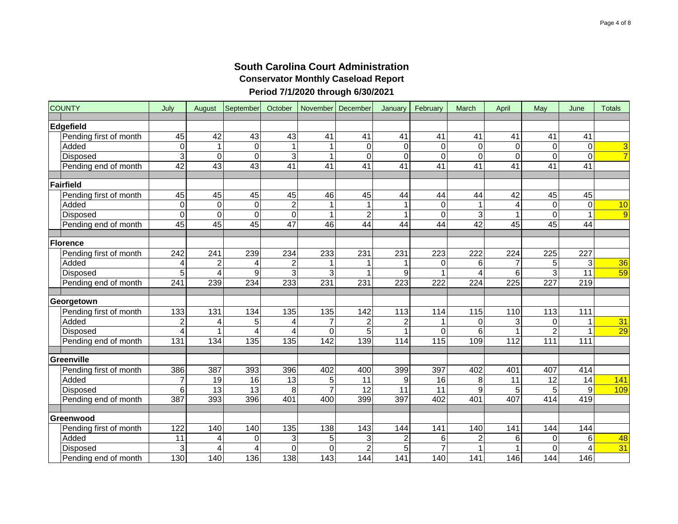| <b>COUNTY</b>          | July                    | August          | September   | October        | November        | December        | January         | February    | March           | April           | May             | June            | <b>Totals</b>   |
|------------------------|-------------------------|-----------------|-------------|----------------|-----------------|-----------------|-----------------|-------------|-----------------|-----------------|-----------------|-----------------|-----------------|
| Edgefield              |                         |                 |             |                |                 |                 |                 |             |                 |                 |                 |                 |                 |
| Pending first of month | 45                      | 42              | 43          | 43             | 41              | 41              | 41              | 41          | 41              | 41              | 41              | 41              |                 |
| Added                  | $\overline{0}$          | 1               | $\mathbf 0$ | 1              | 1               | 0               | 0               | 0           | $\mathbf 0$     | 0               | 0               | $\mathbf 0$     | 3               |
| Disposed               | ც                       | $\overline{0}$  | $\Omega$    | $\overline{3}$ | $\mathbf{1}$    | $\mathbf 0$     | 0               | $\Omega$    | $\mathbf 0$     | $\overline{0}$  | 0               | $\overline{0}$  | $\overline{7}$  |
| Pending end of month   | 42                      | $\overline{43}$ | 43          | 41             | $\overline{41}$ | $\overline{41}$ | $\overline{41}$ | 41          | $\overline{41}$ | $\overline{41}$ | $\overline{41}$ | 41              |                 |
|                        |                         |                 |             |                |                 |                 |                 |             |                 |                 |                 |                 |                 |
| Fairfield              |                         |                 |             |                |                 |                 |                 |             |                 |                 |                 |                 |                 |
| Pending first of month | 45                      | 45              | 45          | 45             | 46              | 45              | 44              | 44          | 44              | 42              | 45              | 45              |                 |
| Added                  | $\overline{0}$          | 0               | $\mathbf 0$ | $\overline{2}$ | 1               | $\mathbf 1$     | 1               | 0           | 1               | 4               | 0               | $\overline{0}$  | 10              |
| <b>Disposed</b>        | $\overline{0}$          | $\overline{0}$  | $\Omega$    | $\overline{0}$ | $\mathbf{1}$    | $\overline{2}$  | 1               | $\mathbf 0$ | $\overline{3}$  | 1               | 0               | 1               | $\overline{9}$  |
| Pending end of month   | 45                      | 45              | 45          | 47             | 46              | 44              | 44              | 44          | 42              | 45              | 45              | 44              |                 |
|                        |                         |                 |             |                |                 |                 |                 |             |                 |                 |                 |                 |                 |
| Florence               |                         |                 |             |                |                 |                 |                 |             |                 |                 |                 |                 |                 |
| Pending first of month | 242                     | 241             | 239         | 234            | 233             | 231             | 231             | 223         | 222             | 224             | 225             | 227             |                 |
| Added                  | 4                       | 2               | 4           | $\overline{c}$ |                 |                 | 1               | 0           | 6               | $\overline{7}$  | 5               | $\overline{3}$  | 36              |
| <b>Disposed</b>        | $\overline{5}$          | $\overline{4}$  | 9           | 3              | 3               | 1               | 9               | 1           | 4               | 6               | $\overline{3}$  | $\overline{11}$ | 59              |
| Pending end of month   | 241                     | 239             | 234         | 233            | 231             | 231             | 223             | 222         | 224             | 225             | 227             | 219             |                 |
|                        |                         |                 |             |                |                 |                 |                 |             |                 |                 |                 |                 |                 |
| Georgetown             |                         |                 |             |                |                 |                 |                 |             |                 |                 |                 |                 |                 |
| Pending first of month | 133                     | 131             | 134         | 135            | 135             | 142             | 113             | 114         | 115             | 110             | 113             | 111             |                 |
| Added                  | $\overline{a}$          | 4               | 5           | 4              | 7               | $\overline{2}$  | 2               | 1           | 0               | 3               | 0               | 1               | 31              |
| Disposed               | $\overline{\mathbf{4}}$ | $\mathbf{1}$    | 4           | 4              | $\mathbf 0$     | 5 <sup>1</sup>  | 1               | $\Omega$    | 6               | 1               | $\overline{c}$  | 1               | $\overline{29}$ |
| Pending end of month   | 131                     | 134             | 135         | 135            | 142             | 139             | 114             | 115         | 109             | 112             | 111             | 111             |                 |
| Greenville             |                         |                 |             |                |                 |                 |                 |             |                 |                 |                 |                 |                 |
| Pending first of month | 386                     | 387             | 393         | 396            | 402             | 400             | 399             | 397         | 402             | 401             | 407             | 414             |                 |
| Added                  | 7                       | 19              | 16          | 13             | 5               | 11              | 9               | 16          | 8               | 11              | 12              | 14              | 141             |
| Disposed               | 6 <sup>1</sup>          | 13              | 13          | 8              | $\overline{7}$  | 12              | 11              | 11          | 9               | 5               | 5               | 9               | 109             |
| Pending end of month   | 387                     | 393             | 396         | 401            | 400             | 399             | 397             | 402         | 401             | 407             | 414             | 419             |                 |
|                        |                         |                 |             |                |                 |                 |                 |             |                 |                 |                 |                 |                 |
| Greenwood              |                         |                 |             |                |                 |                 |                 |             |                 |                 |                 |                 |                 |
| Pending first of month | 122                     | 140             | 140         | 135            | 138             | 143             | 144             | 141         | 140             | 141             | 144             | 144             |                 |
| Added                  | 11                      | 4               | 0           | 3              | 5               | 3               | $\mathbf 2$     | 6           | $\overline{c}$  | 6               | $\mathbf 0$     | 6               | 48              |
| Disposed               | 3                       | 4               | 4           | $\overline{0}$ | $\mathbf 0$     | $\overline{2}$  | 5               |             | 1               | 1               | 0               | 4               | 31              |
| Pending end of month   | 130                     | 140             | 136         | 138            | 143             | 144             | 141             | 140         | 141             | 146             | 144             | 146             |                 |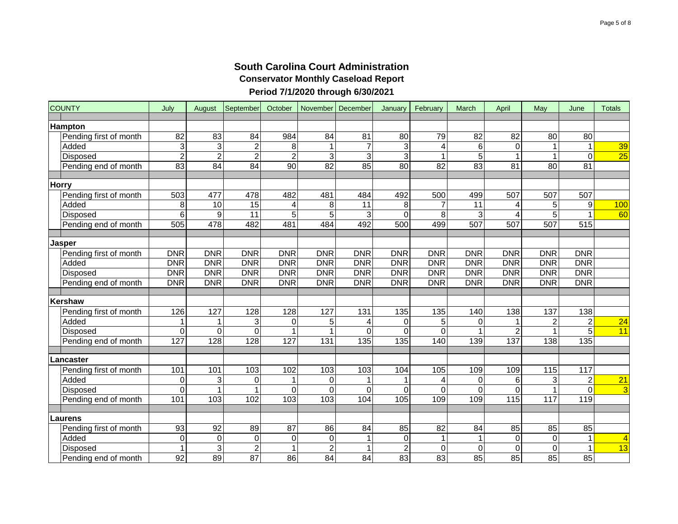| <b>COUNTY</b>          | July            | August          | September       | October         | November        | December       | January         | February        | March           | April           | May            | June                    | <b>Totals</b>   |
|------------------------|-----------------|-----------------|-----------------|-----------------|-----------------|----------------|-----------------|-----------------|-----------------|-----------------|----------------|-------------------------|-----------------|
| <b>Hampton</b>         |                 |                 |                 |                 |                 |                |                 |                 |                 |                 |                |                         |                 |
| Pending first of month | 82              | 83              | 84              | 984             | 84              | 81             | 80              | 79              | 82              | 82              | 80             | 80                      |                 |
| Added                  | 3               | 3               | $\overline{c}$  | 8               | 1               | $\overline{7}$ | 3               | 4               | 6               | 0               |                | $\mathbf{1}$            | 39              |
| <b>Disposed</b>        | $\overline{2}$  | $\overline{2}$  | $\overline{2}$  | $\overline{2}$  | 3               | $\overline{3}$ | 3               | $\mathbf{1}$    | $\overline{5}$  | $\mathbf{1}$    | 1              | $\Omega$                | $\overline{25}$ |
| Pending end of month   | $\overline{83}$ | $\overline{84}$ | 84              | $\overline{90}$ | $\overline{82}$ | 85             | $\overline{80}$ | $\overline{82}$ | $\overline{83}$ | $\overline{81}$ | 80             | 81                      |                 |
|                        |                 |                 |                 |                 |                 |                |                 |                 |                 |                 |                |                         |                 |
| <b>Horry</b>           |                 |                 |                 |                 |                 |                |                 |                 |                 |                 |                |                         |                 |
| Pending first of month | 503             | 477             | 478             | 482             | 481             | 484            | 492             | 500             | 499             | 507             | 507            | 507                     |                 |
| Added                  | 8               | $\overline{10}$ | 15              | 4               | 8               | 11             | 8               | 7               | 11              | 4               | 5              | 9                       | 100             |
| <b>Disposed</b>        | 6               | $\overline{9}$  | $\overline{11}$ | $\overline{5}$  | $\overline{5}$  | $\overline{3}$ | $\overline{0}$  | 8               | 3               | 4               | $\overline{5}$ | 1                       | 60              |
| Pending end of month   | 505             | 478             | 482             | 481             | 484             | 492            | 500             | 499             | 507             | 507             | 507            | 515                     |                 |
|                        |                 |                 |                 |                 |                 |                |                 |                 |                 |                 |                |                         |                 |
| <b>Jasper</b>          |                 |                 |                 |                 |                 |                |                 |                 |                 |                 |                |                         |                 |
| Pending first of month | <b>DNR</b>      | <b>DNR</b>      | <b>DNR</b>      | <b>DNR</b>      | <b>DNR</b>      | <b>DNR</b>     | <b>DNR</b>      | <b>DNR</b>      | <b>DNR</b>      | <b>DNR</b>      | <b>DNR</b>     | <b>DNR</b>              |                 |
| Added                  | <b>DNR</b>      | <b>DNR</b>      | <b>DNR</b>      | <b>DNR</b>      | <b>DNR</b>      | <b>DNR</b>     | <b>DNR</b>      | <b>DNR</b>      | <b>DNR</b>      | <b>DNR</b>      | <b>DNR</b>     | <b>DNR</b>              |                 |
| <b>Disposed</b>        | <b>DNR</b>      | <b>DNR</b>      | <b>DNR</b>      | <b>DNR</b>      | <b>DNR</b>      | <b>DNR</b>     | <b>DNR</b>      | <b>DNR</b>      | <b>DNR</b>      | <b>DNR</b>      | <b>DNR</b>     | <b>DNR</b>              |                 |
| Pending end of month   | <b>DNR</b>      | <b>DNR</b>      | <b>DNR</b>      | <b>DNR</b>      | <b>DNR</b>      | <b>DNR</b>     | <b>DNR</b>      | <b>DNR</b>      | <b>DNR</b>      | <b>DNR</b>      | <b>DNR</b>     | <b>DNR</b>              |                 |
|                        |                 |                 |                 |                 |                 |                |                 |                 |                 |                 |                |                         |                 |
| <b>Kershaw</b>         |                 |                 |                 |                 |                 |                |                 |                 |                 |                 |                |                         |                 |
| Pending first of month | 126             | 127             | 128             | 128             | 127             | 131            | 135             | 135             | 140             | 138             | 137            | 138                     |                 |
| Added                  | 1               | 1               | 3               | 0<br>1          | 5               | 4              | 0               | 5               | 0               | 1               | $\overline{c}$ | $\overline{c}$          | $\overline{24}$ |
| <b>Disposed</b>        | $\overline{0}$  | 0               | $\Omega$        |                 |                 | $\Omega$       | $\Omega$        | $\mathbf 0$     | $\mathbf{1}$    | $\overline{c}$  |                | 5                       | 11              |
| Pending end of month   | 127             | 128             | 128             | 127             | 131             | 135            | 135             | 140             | 139             | 137             | 138            | 135                     |                 |
| Lancaster              |                 |                 |                 |                 |                 |                |                 |                 |                 |                 |                |                         |                 |
| Pending first of month | 101             | 101             | 103             | 102             | 103             | 103            | 104             | 105             | 109             | 109             | 115            | 117                     |                 |
| Added                  | $\pmb{0}$       | 3               | $\pmb{0}$       | 1               | 0               | 1              |                 | 4               | 0               | 6               | 3              | $\overline{\mathbf{c}}$ | $\overline{21}$ |
| Disposed               | $\overline{0}$  | 1               |                 | 0               | $\Omega$        | 0              | $\Omega$        | $\mathbf 0$     | $\mathbf 0$     | $\mathbf 0$     |                | $\Omega$                | 3               |
| Pending end of month   | 101             | 103             | 102             | 103             | 103             | 104            | 105             | 109             | 109             | 115             | 117            | 119                     |                 |
|                        |                 |                 |                 |                 |                 |                |                 |                 |                 |                 |                |                         |                 |
| Laurens                |                 |                 |                 |                 |                 |                |                 |                 |                 |                 |                |                         |                 |
| Pending first of month | 93              | 92              | 89              | 87              | 86              | 84             | 85              | 82              | 84              | 85              | 85             | 85                      |                 |
| Added                  | $\pmb{0}$       | 0               | $\pmb{0}$       | $\pmb{0}$       | 0               | 1              | $\pmb{0}$       | $\mathbf{1}$    | $\mathbf 1$     | $\pmb{0}$       | $\mathbf 0$    | $\mathbf{1}$            | 4               |
| Disposed               | $\mathbf{1}$    | 3               | $\overline{c}$  | 1               | $\overline{2}$  | 1              | $\mathbf 2$     | $\mathbf 0$     | $\mathbf 0$     | $\pmb{0}$       | $\Omega$       | $\mathbf{1}$            | $\overline{13}$ |
| Pending end of month   | $\overline{92}$ | 89              | $\overline{87}$ | $\overline{86}$ | $\overline{84}$ | 84             | 83              | 83              | 85              | 85              | 85             | 85                      |                 |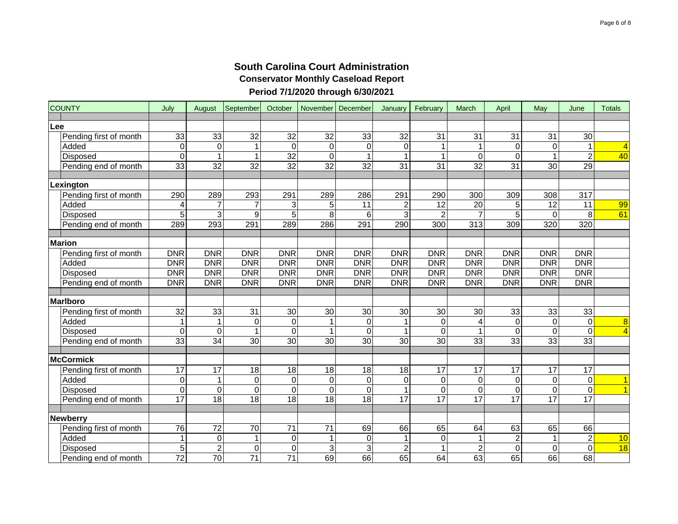| <b>COUNTY</b>          | July                    | August          | September       | October          | November   December |                  | January         | February         | March                   | April            | May         | June           | <b>Totals</b>           |
|------------------------|-------------------------|-----------------|-----------------|------------------|---------------------|------------------|-----------------|------------------|-------------------------|------------------|-------------|----------------|-------------------------|
| Lee                    |                         |                 |                 |                  |                     |                  |                 |                  |                         |                  |             |                |                         |
| Pending first of month | 33                      | 33              | 32              | 32               | 32                  | 33               | 32              | 31               | 31                      | 31               | 31          | 30             |                         |
| Added                  | $\mathsf{O}\xspace$     | 0               | 1               | $\mathbf 0$      | 0                   | $\mathbf 0$      | 0               | 1                | $\mathbf{1}$            | $\mathbf 0$      | $\mathbf 0$ | $\mathbf{1}$   | $\overline{4}$          |
| Disposed               | $\overline{\mathsf{o}}$ | $\overline{1}$  | $\mathbf 1$     | 32               | $\pmb{0}$           | 1                | $\mathbf 1$     | $\mathbf{1}$     | $\mathbf 0$             | $\overline{0}$   | $\mathbf 1$ | $\overline{2}$ | 40                      |
| Pending end of month   | 33                      | $\overline{32}$ | 32              | 32               | $\overline{32}$     | $\overline{32}$  | 31              | $\overline{31}$  | $\overline{32}$         | $\overline{31}$  | 30          | 29             |                         |
|                        |                         |                 |                 |                  |                     |                  |                 |                  |                         |                  |             |                |                         |
| Lexington              |                         |                 |                 |                  |                     |                  |                 |                  |                         |                  |             |                |                         |
| Pending first of month | 290                     | 289             | 293             | 291              | 289                 | 286              | 291             | 290              | 300                     | 309              | 308         | 317            |                         |
| Added                  | 4                       | $\overline{7}$  |                 | 3                | 5                   | 11               | $\overline{c}$  | 12               | 20                      | 5                | 12          | 11             | 99                      |
| Disposed               | 5                       | 3               | 9               | 5                | 8                   | 6                | 3               | $\overline{2}$   | $\overline{7}$          | 5                | $\Omega$    | 8              | 61                      |
| Pending end of month   | 289                     | 293             | 291             | 289              | 286                 | 291              | 290             | 300              | 313                     | 309              | 320         | 320            |                         |
|                        |                         |                 |                 |                  |                     |                  |                 |                  |                         |                  |             |                |                         |
| <b>Marion</b>          |                         |                 |                 |                  |                     |                  |                 |                  |                         |                  |             |                |                         |
| Pending first of month | <b>DNR</b>              | <b>DNR</b>      | <b>DNR</b>      | <b>DNR</b>       | <b>DNR</b>          | <b>DNR</b>       | <b>DNR</b>      | <b>DNR</b>       | <b>DNR</b>              | <b>DNR</b>       | <b>DNR</b>  | <b>DNR</b>     |                         |
| Added                  | <b>DNR</b>              | <b>DNR</b>      | <b>DNR</b>      | <b>DNR</b>       | <b>DNR</b>          | <b>DNR</b>       | <b>DNR</b>      | <b>DNR</b>       | <b>DNR</b>              | <b>DNR</b>       | <b>DNR</b>  | <b>DNR</b>     |                         |
| <b>Disposed</b>        | <b>DNR</b>              | <b>DNR</b>      | <b>DNR</b>      | <b>DNR</b>       | <b>DNR</b>          | <b>DNR</b>       | <b>DNR</b>      | <b>DNR</b>       | <b>DNR</b>              | <b>DNR</b>       | <b>DNR</b>  | <b>DNR</b>     |                         |
| Pending end of month   | <b>DNR</b>              | <b>DNR</b>      | <b>DNR</b>      | <b>DNR</b>       | <b>DNR</b>          | <b>DNR</b>       | <b>DNR</b>      | <b>DNR</b>       | <b>DNR</b>              | <b>DNR</b>       | <b>DNR</b>  | <b>DNR</b>     |                         |
|                        |                         |                 |                 |                  |                     |                  |                 |                  |                         |                  |             |                |                         |
| <b>Marlboro</b>        |                         |                 |                 |                  |                     |                  |                 |                  |                         |                  |             |                |                         |
| Pending first of month | 32                      | 33              | 31              | 30               | 30                  | 30               | 30              | 30               | 30                      | 33               | 33          | 33             |                         |
| Added                  | 1                       | 1               | $\pmb{0}$       | $\pmb{0}$        | 1                   | $\boldsymbol{0}$ |                 | $\pmb{0}$        | $\overline{\mathbf{4}}$ | $\pmb{0}$        | $\mathbf 0$ | $\mathbf 0$    | $\overline{\mathbf{8}}$ |
| Disposed               | $\pmb{0}$               | 0               | 1               | $\mathbf 0$      | 1                   | 0                | 1               | $\mathbf 0$      | $\mathbf{1}$            | $\boldsymbol{0}$ | $\Omega$    | $\overline{0}$ | $\overline{4}$          |
| Pending end of month   | 33                      | 34              | 30              | 30               | 30                  | 30               | 30              | 30               | 33                      | 33               | 33          | 33             |                         |
| <b>McCormick</b>       |                         |                 |                 |                  |                     |                  |                 |                  |                         |                  |             |                |                         |
| Pending first of month | 17                      | $\overline{17}$ | 18              | 18               | 18                  | 18               | 18              | 17               | 17                      | 17               | 17          | 17             |                         |
| Added                  | $\pmb{0}$               | 1               | $\mathbf 0$     | $\mathbf 0$      | 0                   | $\boldsymbol{0}$ | $\mathbf 0$     | $\boldsymbol{0}$ | $\mathbf 0$             | $\mathbf 0$      | $\Omega$    | $\mathbf 0$    | $\mathbf{1}$            |
| <b>Disposed</b>        | $\mathbf 0$             | 0               | $\Omega$        | $\mathbf 0$      | 0                   | $\Omega$         | 1               | $\mathbf 0$      | $\mathbf 0$             | $\mathbf 0$      | $\Omega$    | $\overline{0}$ | $\overline{1}$          |
| Pending end of month   | 17                      | 18              | 18              | $\overline{18}$  | $\overline{18}$     | $\overline{18}$  | $\overline{17}$ | $\overline{17}$  | 17                      | 17               | 17          | 17             |                         |
|                        |                         |                 |                 |                  |                     |                  |                 |                  |                         |                  |             |                |                         |
| Newberry               |                         |                 |                 |                  |                     |                  |                 |                  |                         |                  |             |                |                         |
| Pending first of month | 76                      | 72              | 70              | 71               | 71                  | 69               | 66              | 65               | 64                      | 63               | 65          | 66             |                         |
| Added                  | 1                       | 0               | $\mathbf 1$     | $\boldsymbol{0}$ | 1                   | $\,0\,$          | 1               | $\pmb{0}$        | $\mathbf{1}$            | $\overline{c}$   | 1           | $\overline{c}$ | 10                      |
| Disposed               | 5                       | $\overline{2}$  | 0               | $\mathbf 0$      | 3                   | $\overline{3}$   | $\overline{c}$  | 1                | $\overline{2}$          | $\mathbf 0$      | $\Omega$    | $\overline{0}$ | 18                      |
| Pending end of month   | $\overline{72}$         | $\overline{70}$ | $\overline{71}$ | $\overline{71}$  | 69                  | 66               | 65              | 64               | 63                      | 65               | 66          | 68             |                         |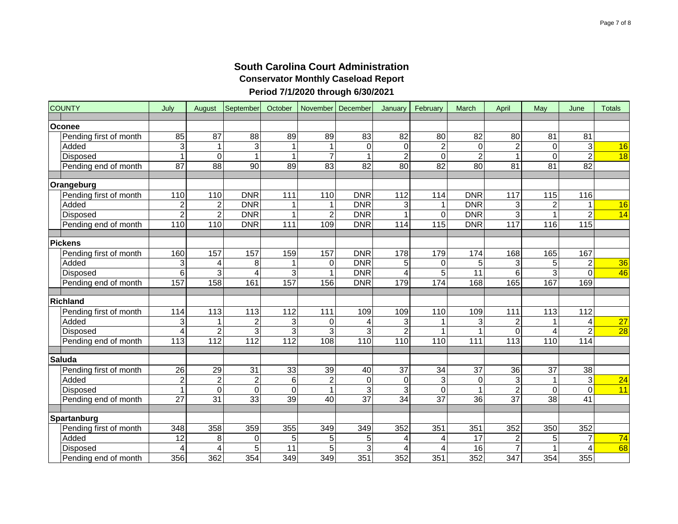| <b>COUNTY</b>          | July            | August                  | September               | October          | November                | December         | January         | February        | March            | April                   | May             | June              | <b>Totals</b>   |
|------------------------|-----------------|-------------------------|-------------------------|------------------|-------------------------|------------------|-----------------|-----------------|------------------|-------------------------|-----------------|-------------------|-----------------|
| Oconee                 |                 |                         |                         |                  |                         |                  |                 |                 |                  |                         |                 |                   |                 |
| Pending first of month | 85              | 87                      | 88                      | 89               | 89                      | 83               | 82              | 80              | 82               | 80                      | 81              | 81                |                 |
| Added                  | 3               | 1                       | 3                       | 1                | 1                       | $\boldsymbol{0}$ | 0               | $\sqrt{2}$      | $\boldsymbol{0}$ | $\overline{2}$          | 0               | 3                 | 16              |
| Disposed               | $\mathbf{1}$    | $\overline{0}$          | 1                       | $\mathbf{1}$     | $\overline{7}$          | $\overline{1}$   | $\overline{2}$  | $\mathbf 0$     | $\overline{2}$   | $\overline{1}$          | $\Omega$        | $\overline{2}$    | $\overline{18}$ |
| Pending end of month   | $\overline{87}$ | 88                      | 90                      | $\overline{89}$  | $\overline{83}$         | $\overline{82}$  | $\overline{80}$ | $\overline{82}$ | $\overline{80}$  | $\overline{81}$         | 81              | 82                |                 |
|                        |                 |                         |                         |                  |                         |                  |                 |                 |                  |                         |                 |                   |                 |
| Orangeburg             |                 |                         |                         |                  |                         |                  |                 |                 |                  |                         |                 |                   |                 |
| Pending first of month | 110             | 110                     | <b>DNR</b>              | 111              | 110                     | <b>DNR</b>       | 112             | 114             | <b>DNR</b>       | 117                     | 115             | 116               |                 |
| Added                  | $\mathbf 2$     | $\overline{c}$          | <b>DNR</b>              | 1                | 1                       | <b>DNR</b>       | 3               | 1               | <b>DNR</b>       | 3                       | $\overline{c}$  | 1                 | 16              |
| <b>Disposed</b>        | $\overline{2}$  | $\overline{2}$          | <b>DNR</b>              | 1                | $\overline{\mathbf{c}}$ | <b>DNR</b>       | 1               | $\overline{O}$  | <b>DNR</b>       | $\overline{3}$          |                 | $\overline{2}$    | $\overline{14}$ |
| Pending end of month   | 110             | 110                     | <b>DNR</b>              | 111              | 109                     | <b>DNR</b>       | 114             | 115             | <b>DNR</b>       | 117                     | 116             | $\frac{115}{115}$ |                 |
| <b>Pickens</b>         |                 |                         |                         |                  |                         |                  |                 |                 |                  |                         |                 |                   |                 |
| Pending first of month | 160             | 157                     | 157                     | 159              | 157                     | <b>DNR</b>       | 178             | 179             | 174              | 168                     | 165             | 167               |                 |
| Added                  | 3               | 4                       | 8                       | 1                | 0                       | <b>DNR</b>       | 5               | 0               | 5                | 3                       | 5               | $\overline{c}$    | 36              |
| <b>Disposed</b>        | 6               | $\overline{3}$          | 4                       | 3                | 1                       | <b>DNR</b>       | 4               | 5               | 11               | 6                       | 3               | $\Omega$          | 46              |
| Pending end of month   | 157             | 158                     | 161                     | 157              | 156                     | <b>DNR</b>       | 179             | 174             | 168              | 165                     | 167             | 169               |                 |
|                        |                 |                         |                         |                  |                         |                  |                 |                 |                  |                         |                 |                   |                 |
| <b>Richland</b>        |                 |                         |                         |                  |                         |                  |                 |                 |                  |                         |                 |                   |                 |
| Pending first of month | 114             | 113                     | 113                     | 112              | 111                     | 109              | 109             | 110             | 109              | 111                     | 113             | 112               |                 |
| Added                  | 3               | 1                       | 2                       | 3                | 0                       | $\overline{4}$   | 3               | 1               | 3                | $\overline{\mathbf{c}}$ |                 | 4                 | $\overline{27}$ |
| <b>Disposed</b>        | 4               | $\overline{2}$          | 3                       | 3                | 3                       | 3                | $\overline{c}$  | 1               | $\mathbf{1}$     | $\mathbf 0$             | 4               | $\overline{2}$    | $\overline{28}$ |
| Pending end of month   | 113             | $\overline{112}$        | 112                     | 112              | 108                     | 110              | 110             | 110             | 111              | 113                     | 110             | 114               |                 |
|                        |                 |                         |                         |                  |                         |                  |                 |                 |                  |                         |                 |                   |                 |
| <b>Saluda</b>          |                 |                         |                         |                  |                         |                  |                 |                 |                  |                         |                 |                   |                 |
| Pending first of month | 26              | 29                      | 31                      | $\overline{33}$  | 39                      | 40               | 37              | 34              | 37               | 36                      | 37              | 38                |                 |
| Added                  | $\overline{a}$  | $\overline{2}$          | $\overline{\mathbf{c}}$ | 6                | $\overline{\mathbf{c}}$ | $\boldsymbol{0}$ | 0               | 3               | $\pmb{0}$        | 3                       | 1               | 3                 | 24              |
| <b>Disposed</b>        | $\mathbf{1}$    | 0                       | 0                       | 0                | 1                       | 3                | 3               | $\mathbf 0$     | $\mathbf{1}$     | $\overline{c}$          | $\Omega$        | $\Omega$          | 11              |
| Pending end of month   | $\overline{27}$ | $\overline{31}$         | $\overline{33}$         | $\overline{39}$  | $\overline{40}$         | $\overline{37}$  | $\overline{34}$ | $\overline{37}$ | $\overline{36}$  | $\overline{37}$         | $\overline{38}$ | $\overline{41}$   |                 |
| Spartanburg            |                 |                         |                         |                  |                         |                  |                 |                 |                  |                         |                 |                   |                 |
| Pending first of month | 348             | 358                     | 359                     | 355              | 349                     | 349              | 352             | 351             | 351              | 352                     | 350             | 352               |                 |
| Added                  | 12              | 8                       | 0                       | 5                | 5                       | 5                | 4               | 4               | 17               | $\overline{c}$          | 5               | 7                 | 74              |
| Disposed               | 4               | $\overline{\mathbf{4}}$ | 5                       | $\overline{11}$  | $\overline{5}$          | $\overline{3}$   | 4               | 4               | $\overline{16}$  | $\overline{7}$          |                 | 4                 | 68              |
| Pending end of month   | 356             | 362                     | 354                     | $\overline{349}$ | $\overline{349}$        | 351              | 352             | 351             | 352              | $\overline{347}$        | 354             | 355               |                 |